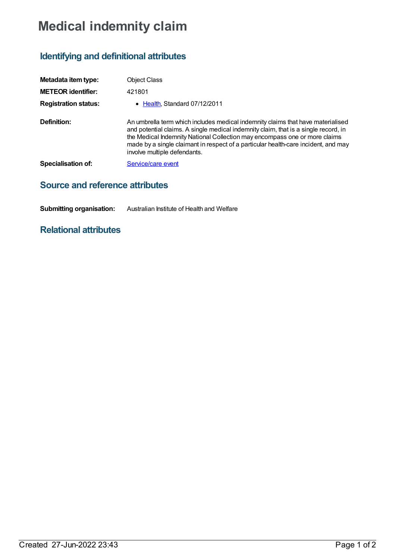## **Medical indemnity claim**

## **Identifying and definitional attributes**

| Metadata item type:         | <b>Object Class</b>                                                                                                                                                                                                                                                                                                                                                        |
|-----------------------------|----------------------------------------------------------------------------------------------------------------------------------------------------------------------------------------------------------------------------------------------------------------------------------------------------------------------------------------------------------------------------|
| <b>METEOR identifier:</b>   | 421801                                                                                                                                                                                                                                                                                                                                                                     |
| <b>Registration status:</b> | • Health, Standard 07/12/2011                                                                                                                                                                                                                                                                                                                                              |
| Definition:                 | An umbrella term which includes medical indemnity claims that have materialised<br>and potential claims. A single medical indemnity claim, that is a single record, in<br>the Medical Indemnity National Collection may encompass one or more claims<br>made by a single claimant in respect of a particular health-care incident, and may<br>involve multiple defendants. |
| Specialisation of:          | Service/care event                                                                                                                                                                                                                                                                                                                                                         |
|                             |                                                                                                                                                                                                                                                                                                                                                                            |

## **Source and reference attributes**

**Submitting organisation:** Australian Institute of Health and Welfare

## **Relational attributes**